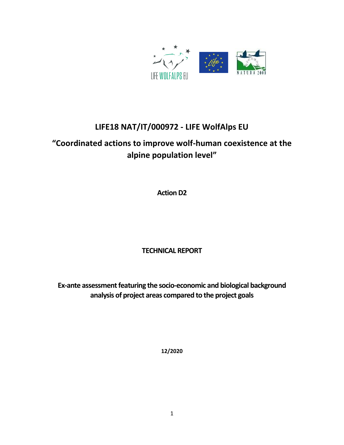

# **LIFE18 NAT/IT/000972 - LIFE WolfAlps EU**

# **"Coordinated actions to improve wolf-human coexistence at the alpine population level"**

**Action D2**

### **TECHNICAL REPORT**

**Ex-ante assessment featuring the socio-economic and biological background analysis of project areas compared to the project goals**

**12/2020**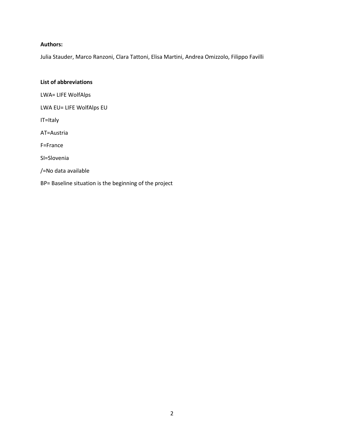#### **Authors:**

Julia Stauder, Marco Ranzoni, Clara Tattoni, Elisa Martini, Andrea Omizzolo, Filippo Favilli

#### **List of abbreviations**

LWA= LIFE WolfAlps

LWA EU= LIFE WolfAlps EU

IT=Italy

AT=Austria

F=France

SI=Slovenia

/=No data available

BP= Baseline situation is the beginning of the project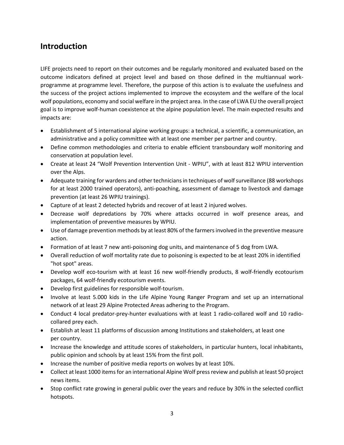### **Introduction**

LIFE projects need to report on their outcomes and be regularly monitored and evaluated based on the outcome indicators defined at project level and based on those defined in the multiannual workprogramme at programme level. Therefore, the purpose of this action is to evaluate the usefulness and the success of the project actions implemented to improve the ecosystem and the welfare of the local wolf populations, economy and social welfare in the project area. In the case of LWA EU the overall project goal is to improve wolf-human coexistence at the alpine population level. The main expected results and impacts are:

- Establishment of 5 international alpine working groups: a technical, a scientific, a communication, an administrative and a policy committee with at least one member per partner and country.
- Define common methodologies and criteria to enable efficient transboundary wolf monitoring and conservation at population level.
- Create at least 24 "Wolf Prevention Intervention Unit WPIU", with at least 812 WPIU intervention over the Alps.
- Adequate training for wardens and other technicians in techniques of wolf surveillance (88 workshops for at least 2000 trained operators), anti-poaching, assessment of damage to livestock and damage prevention (at least 26 WPIU trainings).
- Capture of at least 2 detected hybrids and recover of at least 2 injured wolves.
- Decrease wolf depredations by 70% where attacks occurred in wolf presence areas, and implementation of preventive measures by WPIU.
- Use of damage prevention methods by at least 80% of the farmers involved in the preventive measure action.
- Formation of at least 7 new anti-poisoning dog units, and maintenance of 5 dog from LWA.
- Overall reduction of wolf mortality rate due to poisoning is expected to be at least 20% in identified "hot spot" areas.
- Develop wolf eco-tourism with at least 16 new wolf-friendly products, 8 wolf-friendly ecotourism packages, 64 wolf-friendly ecotourism events.
- Develop first guidelines for responsible wolf-tourism.
- Involve at least 5.000 kids in the Life Alpine Young Ranger Program and set up an international network of at least 29 Alpine Protected Areas adhering to the Program.
- Conduct 4 local predator-prey-hunter evaluations with at least 1 radio-collared wolf and 10 radiocollared prey each.
- Establish at least 11 platforms of discussion among Institutions and stakeholders, at least one per country.
- Increase the knowledge and attitude scores of stakeholders, in particular hunters, local inhabitants, public opinion and schools by at least 15% from the first poll.
- Increase the number of positive media reports on wolves by at least 10%.
- Collect at least 1000 items for an international Alpine Wolf press review and publish at least 50 project news items.
- Stop conflict rate growing in general public over the years and reduce by 30% in the selected conflict hotspots.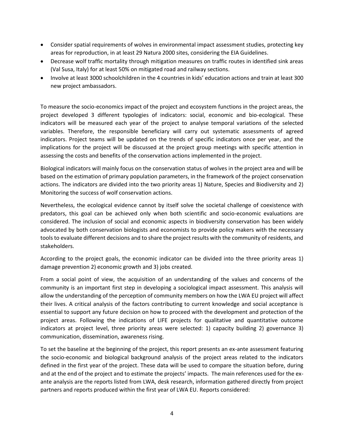- Consider spatial requirements of wolves in environmental impact assessment studies, protecting key areas for reproduction, in at least 29 Natura 2000 sites, considering the EIA Guidelines.
- Decrease wolf traffic mortality through mitigation measures on traffic routes in identified sink areas (Val Susa, Italy) for at least 50% on mitigated road and railway sections.
- Involve at least 3000 schoolchildren in the 4 countries in kids' education actions and train at least 300 new project ambassadors.

To measure the socio-economics impact of the project and ecosystem functions in the project areas, the project developed 3 different typologies of indicators: social, economic and bio-ecological. These indicators will be measured each year of the project to analyse temporal variations of the selected variables. Therefore, the responsible beneficiary will carry out systematic assessments of agreed indicators. Project teams will be updated on the trends of specific indicators once per year, and the implications for the project will be discussed at the project group meetings with specific attention in assessing the costs and benefits of the conservation actions implemented in the project.

Biological indicators will mainly focus on the conservation status of wolves in the project area and will be based on the estimation of primary population parameters, in the framework of the project conservation actions. The indicators are divided into the two priority areas 1) Nature, Species and Biodiversity and 2) Monitoring the success of wolf conservation actions.

Nevertheless, the ecological evidence cannot by itself solve the societal challenge of coexistence with predators, this goal can be achieved only when both scientific and socio-economic evaluations are considered. The inclusion of social and economic aspects in biodiversity conservation has been widely advocated by both conservation biologists and economists to provide policy makers with the necessary tools to evaluate different decisions and to share the project results with the community of residents, and stakeholders.

According to the project goals, the economic indicator can be divided into the three priority areas 1) damage prevention 2) economic growth and 3) jobs created.

From a social point of view, the acquisition of an understanding of the values and concerns of the community is an important first step in developing a sociological impact assessment. This analysis will allow the understanding of the perception of community members on how the LWA EU project will affect their lives. A critical analysis of the factors contributing to current knowledge and social acceptance is essential to support any future decision on how to proceed with the development and protection of the project areas. Following the indications of LIFE projects for qualitative and quantitative outcome indicators at project level, three priority areas were selected: 1) capacity building 2) governance 3) communication, dissemination, awareness rising.

To set the baseline at the beginning of the project, this report presents an ex-ante assessment featuring the socio-economic and biological background analysis of the project areas related to the indicators defined in the first year of the project. These data will be used to compare the situation before, during and at the end of the project and to estimate the projects' impacts. The main references used for the exante analysis are the reports listed from LWA, desk research, information gathered directly from project partners and reports produced within the first year of LWA EU. Reports considered: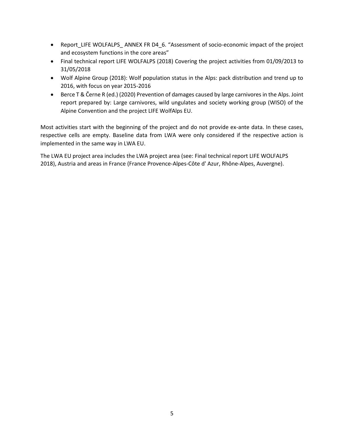- Report\_LIFE WOLFALPS\_ ANNEX FR D4\_6. "Assessment of socio-economic impact of the project and ecosystem functions in the core areas"
- Final technical report LIFE WOLFALPS (2018) Covering the project activities from 01/09/2013 to 31/05/2018
- Wolf Alpine Group (2018): Wolf population status in the Alps: pack distribution and trend up to 2016, with focus on year 2015-2016
- Berce T & Černe R (ed.) (2020) Prevention of damages caused by large carnivores in the Alps. Joint report prepared by: Large carnivores, wild ungulates and society working group (WISO) of the Alpine Convention and the project LIFE WolfAlps EU.

Most activities start with the beginning of the project and do not provide ex-ante data. In these cases, respective cells are empty. Baseline data from LWA were only considered if the respective action is implemented in the same way in LWA EU.

The LWA EU project area includes the LWA project area (see: Final technical report LIFE WOLFALPS 2018), Austria and areas in France (France Provence-Alpes-Côte d' Azur, Rhône-Alpes, Auvergne).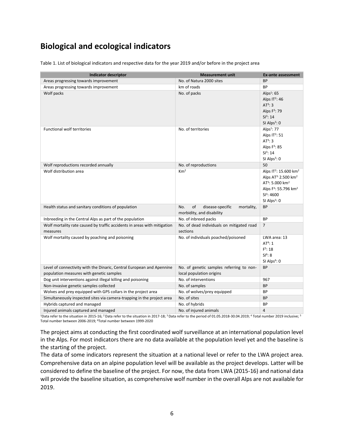# **Biological and ecological indicators**

Table 1. List of biological indicators and respective data for the year 2019 and/or before in the project area

| <b>Indicator descriptor</b>                                                          | <b>Measurement unit</b>                                                  | Ex-ante assessment                            |
|--------------------------------------------------------------------------------------|--------------------------------------------------------------------------|-----------------------------------------------|
| Areas progressing towards improvement                                                | No. of Natura 2000 sites                                                 | <b>BP</b>                                     |
| Areas progressing towards improvement                                                | km of roads                                                              | <b>BP</b>                                     |
| Wolf packs                                                                           | No. of packs                                                             | Alps $1:65$                                   |
|                                                                                      |                                                                          | Alps $IT^2$ : 46                              |
|                                                                                      |                                                                          | AT <sup>3</sup> : 3                           |
|                                                                                      |                                                                          | Alps F <sup>3</sup> : 79                      |
|                                                                                      |                                                                          | SI <sup>3</sup> : 14                          |
|                                                                                      |                                                                          | SI Alps $3:0$                                 |
| <b>Functional wolf territories</b>                                                   | No. of territories                                                       | Alps $1:77$                                   |
|                                                                                      |                                                                          | Alps $IT^2$ : 51                              |
|                                                                                      |                                                                          | $AT^3$ : 3                                    |
|                                                                                      |                                                                          | Alps $F^3$ : 85                               |
|                                                                                      |                                                                          | SI <sup>3</sup> : 14                          |
|                                                                                      |                                                                          | SI Alps <sup>3</sup> : 0                      |
| Wolf reproductions recorded annually                                                 | No. of reproductions                                                     | 50                                            |
| Wolf distribution area                                                               | Km <sup>2</sup>                                                          | Alps IT <sup>2</sup> : 15.600 km <sup>2</sup> |
|                                                                                      |                                                                          | Alps $AT^{3:}$ 2.500 km <sup>2</sup>          |
|                                                                                      |                                                                          | $AT^3$ : 5.000 km <sup>2</sup>                |
|                                                                                      |                                                                          | Alps F <sup>3</sup> : 55.796 km <sup>2</sup>  |
|                                                                                      |                                                                          | $SI^3$ : 4600                                 |
|                                                                                      |                                                                          | SI Alps $3:0$                                 |
| Health status and sanitary conditions of population                                  | of<br>disease-specific<br>No.<br>mortality,<br>morbidity, and disability | <b>BP</b>                                     |
| Inbreeding in the Central Alps as part of the population                             | No. of inbreed packs                                                     | <b>BP</b>                                     |
| Wolf mortality rate caused by traffic accidents in areas with mitigation<br>measures | No. of dead individuals on mitigated road<br>sections                    | $\overline{7}$                                |
| Wolf mortality caused by poaching and poisoning                                      | No. of individuals poached/poisoned                                      | LWA area: 13                                  |
|                                                                                      |                                                                          | AT <sup>4</sup> : 1                           |
|                                                                                      |                                                                          | $F^5: 18$                                     |
|                                                                                      |                                                                          | SI <sup>6</sup> : 8                           |
|                                                                                      |                                                                          | SI Alps <sup>6</sup> : 0                      |
| Level of connectivity with the Dinaric, Central European and Apennine                | No. of genetic samples referring to non-                                 | <b>BP</b>                                     |
| population measures with genetic samples                                             | local population origins                                                 |                                               |
| Dog unit interventions against illegal killing and poisoning                         | No. of interventions                                                     | 967                                           |
| Non-invasive genetic samples collected                                               | No. of samples                                                           | <b>BP</b>                                     |
| Wolves and prey equipped with GPS collars in the project area                        | No. of wolves/prey equipped                                              | <b>BP</b>                                     |
| Simultaneously inspected sites via camera-trapping in the project area               | No. of sites                                                             | <b>BP</b>                                     |
| Hybrids captured and managed                                                         | No. of hybrids                                                           | ВP                                            |
| Injured animals captured and managed                                                 | No. of injured animals                                                   | 4                                             |

 $^{\rm 1D}$ ata refer to the situation in 2015-16; <sup>2</sup> Data refer to the situation in 2017-18; <sup>3</sup> Data refer to the period of 01.05.2018-30.04.2019; <sup>4</sup> Total number 2019 inclusive; <sup>5</sup> Total number between 2006-2019; <sup>6</sup>Total number between 1999-2020

The project aims at conducting the first coordinated wolf surveillance at an international population level in the Alps. For most indicators there are no data available at the population level yet and the baseline is the starting of the project.

The data of some indicators represent the situation at a national level or refer to the LWA project area. Comprehensive data on an alpine population level will be available as the project develops. Latter will be considered to define the baseline of the project. For now, the data from LWA (2015-16) and national data will provide the baseline situation, as comprehensive wolf number in the overall Alps are not available for 2019.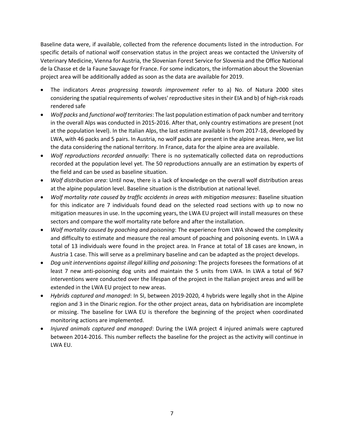Baseline data were, if available, collected from the reference documents listed in the introduction. For specific details of national wolf conservation status in the project areas we contacted the University of Veterinary Medicine, Vienna for Austria, the Slovenian Forest Service for Slovenia and the Office National de la Chasse et de la Faune Sauvage for France. For some indicators, the information about the Slovenian project area will be additionally added as soon as the data are available for 2019.

- The indicators *Areas progressing towards improvement* refer to a) No. of Natura 2000 sites considering the spatial requirements of wolves' reproductive sites in their EIA and b) of high-risk roads rendered safe
- *Wolf packs* and *functional wolf territories*: The last population estimation of pack number and territory in the overall Alps was conducted in 2015-2016. After that, only country estimations are present (not at the population level). In the Italian Alps, the last estimate available is from 2017-18, developed by LWA, with 46 packs and 5 pairs. In Austria, no wolf packs are present in the alpine areas. Here, we list the data considering the national territory. In France, data for the alpine area are available.
- *Wolf reproductions recorded annually*: There is no systematically collected data on reproductions recorded at the population level yet. The 50 reproductions annually are an estimation by experts of the field and can be used as baseline situation.
- *Wolf distribution area*: Until now, there is a lack of knowledge on the overall wolf distribution areas at the alpine population level. Baseline situation is the distribution at national level.
- *Wolf mortality rate caused by traffic accidents in areas with mitigation measures*: Baseline situation for this indicator are 7 individuals found dead on the selected road sections with up to now no mitigation measures in use. In the upcoming years, the LWA EU project will install measures on these sectors and compare the wolf mortality rate before and after the installation.
- *Wolf mortality caused by poaching and poisoning*: The experience from LWA showed the complexity and difficulty to estimate and measure the real amount of poaching and poisoning events. In LWA a total of 13 individuals were found in the project area. In France at total of 18 cases are known, in Austria 1 case. This will serve as a preliminary baseline and can be adapted as the project develops.
- *Dog unit interventions against illegal killing and poisoning*: The projects foresees the formations of at least 7 new anti-poisoning dog units and maintain the 5 units from LWA. In LWA a total of 967 interventions were conducted over the lifespan of the project in the Italian project areas and will be extended in the LWA EU project to new areas.
- *Hybrids captured and managed*: In SI, between 2019-2020, 4 hybrids were legally shot in the Alpine region and 3 in the Dinaric region. For the other project areas, data on hybridisation are incomplete or missing. The baseline for LWA EU is therefore the beginning of the project when coordinated monitoring actions are implemented.
- *Injured animals captured and managed*: During the LWA project 4 injured animals were captured between 2014-2016. This number reflects the baseline for the project as the activity will continue in LWA EU.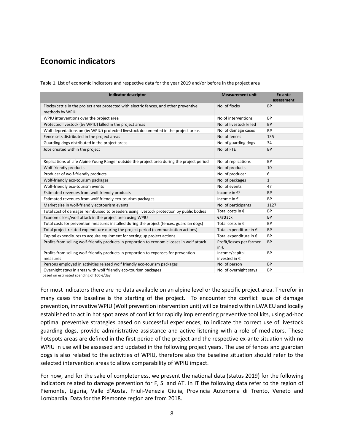### **Economic indicators**

| <b>Indicator descriptor</b>                                                                               | <b>Measurement unit</b>                   | Ex-ante<br>assessment |
|-----------------------------------------------------------------------------------------------------------|-------------------------------------------|-----------------------|
| Flocks/cattle in the project area protected with electric fences, and other preventive<br>methods by WPIU | No. of flocks                             | <b>BP</b>             |
| WPIU interventions over the project area                                                                  | No of interventions                       | <b>BP</b>             |
| Protected livestock (by WPIU) killed in the project areas                                                 | No. of livestock killed                   | <b>BP</b>             |
| Wolf depredations on (by WPIU) protected livestock documented in the project areas                        | No. of damage cases                       | <b>BP</b>             |
| Fence sets distributed in the project areas                                                               | No. of fences                             | 135                   |
| Guarding dogs distributed in the project areas                                                            | No. of guarding dogs                      | 34                    |
| Jobs created within the project                                                                           | No. of FTE                                | <b>BP</b>             |
| Replications of Life Alpine Young Ranger outside the project area during the project period               | No. of replications                       | <b>BP</b>             |
| Wolf friendly products                                                                                    | No. of products                           | 10                    |
| Producer of wolf-friendly products                                                                        | No. of producer                           | 6                     |
| Wolf-friendly eco-tourism packages                                                                        | No. of packages                           | $\mathbf{1}$          |
| Wolf-friendly eco-tourism events                                                                          | No. of events                             | 47                    |
| Estimated revenues from wolf friendly products                                                            | Income in $\epsilon^1$                    | <b>BP</b>             |
| Estimated revenues from wolf friendly eco-tourism packages                                                | Income in €                               | <b>BP</b>             |
| Market size in wolf-friendly ecotourism events                                                            | No. of participants                       | 1127                  |
| Total cost of damages reimbursed to breeders using livestock protection by public bodies                  | Total costs in $\epsilon$                 | <b>BP</b>             |
| Economic loss/wolf attack in the project area using WPIU                                                  | €/attack                                  | <b>BP</b>             |
| Total costs for prevention measures installed during the project (fences, guardian dogs)                  | Total costs in $\epsilon$                 | <b>BP</b>             |
| Total project related expenditure during the project period (communication actions)                       | Total expenditure in €                    | <b>BP</b>             |
| Capital expenditures to acquire equipment for setting up project actions                                  | Total expenditure in €                    | <b>BP</b>             |
| Profits from selling wolf-friendly products in proportion to economic losses in wolf attack               | Profit/losses per farmer<br>in $\epsilon$ | <b>BP</b>             |
| Profits from selling wolf-friendly products in proportion to expenses for prevention<br>measures          | Income/capital<br>invested in €           | <b>BP</b>             |
| Persons employed in activities related wolf friendly eco-tourism packages                                 | No. of person                             | <b>BP</b>             |
| Overnight stays in areas with wolf friendly eco-tourism packages                                          | No. of overnight stays                    | <b>BP</b>             |

Table 1. List of economic indicators and respective data for the year 2019 and/or before in the project area

<sup>1</sup> based on estimated spending of 100 €/day

For most indicators there are no data available on an alpine level or the specific project area. Therefor in many cases the baseline is the starting of the project. To encounter the conflict issue of damage prevention, innovative WPIU (Wolf prevention intervention unit) will be trained within LWA EU and locally established to act in hot spot areas of conflict for rapidly implementing preventive tool kits, using ad-hoc optimal preventive strategies based on successful experiences, to indicate the correct use of livestock guarding dogs, provide administrative assistance and active listening with a role of mediators. These hotspots areas are defined in the first period of the project and the respective ex-ante situation with no WPIU in use will be assessed and updated in the following project years. The use of fences and guardian dogs is also related to the activities of WPIU, therefore also the baseline situation should refer to the selected intervention areas to allow comparability of WPIU impact.

For now, and for the sake of completeness, we present the national data (status 2019) for the following indicators related to damage prevention for F, SI and AT. In IT the following data refer to the region of Piemonte, Liguria, Valle d'Aosta, Friuli-Venezia Giulia, Provincia Autonoma di Trento, Veneto and Lombardia. Data for the Piemonte region are from 2018.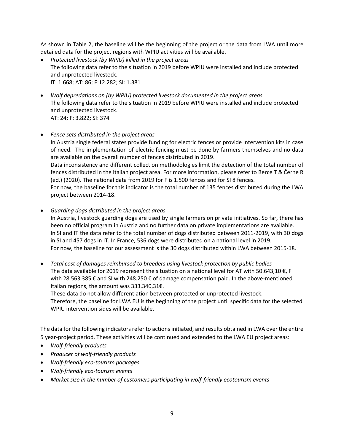As shown in Table 2, the baseline will be the beginning of the project or the data from LWA until more detailed data for the project regions with WPIU activities will be available.

- *Protected livestock (by WPIU) killed in the project areas* The following data refer to the situation in 2019 before WPIU were installed and include protected and unprotected livestock. IT: 1.668; AT: 86; F:12.282; SI: 1.381
- *Wolf depredations on (by WPIU) protected livestock documented in the project areas* The following data refer to the situation in 2019 before WPIU were installed and include protected and unprotected livestock. AT: 24; F: 3.822; SI: 374
- *Fence sets distributed in the project areas* In Austria single federal states provide funding for electric fences or provide intervention kits in case of need. The implementation of electric fencing must be done by farmers themselves and no data are available on the overall number of fences distributed in 2019. Data inconsistency and different collection methodologies limit the detection of the total number of fences distributed in the Italian project area. For more information, please refer to Berce T & Černe R (ed.) (2020). The national data from 2019 for F is 1.500 fences and for SI 8 fences. For now, the baseline for this indicator is the total number of 135 fences distributed during the LWA project between 2014-18.
- *Guarding dogs distributed in the project areas* In Austria, livestock guarding dogs are used by single farmers on private initiatives. So far, there has been no official program in Austria and no further data on private implementations are available. In SI and IT the data refer to the total number of dogs distributed between 2011-2019, with 30 dogs in SI and 457 dogs in IT. In France, 536 dogs were distributed on a national level in 2019. For now, the baseline for our assessment is the 30 dogs distributed within LWA between 2015-18.
- *Total cost of damages reimbursed to breeders using livestock protection by public bodies* The data available for 2019 represent the situation on a national level for AT with 50.643,10  $\epsilon$ , F with 28.563.385 € and SI with 248.250 € of damage compensation paid. In the above-mentioned Italian regions, the amount was 333.340,31€.

These data do not allow differentiation between protected or unprotected livestock. Therefore, the baseline for LWA EU is the beginning of the project until specific data for the selected WPIU intervention sides will be available.

The data for the following indicators refer to actions initiated, and results obtained in LWA over the entire 5 year-project period. These activities will be continued and extended to the LWA EU project areas:

- *Wolf-friendly products*
- *Producer of wolf-friendly products*
- *Wolf-friendly eco-tourism packages*
- *Wolf-friendly eco-tourism events*
- *Market size in the number of customers participating in wolf-friendly ecotourism events*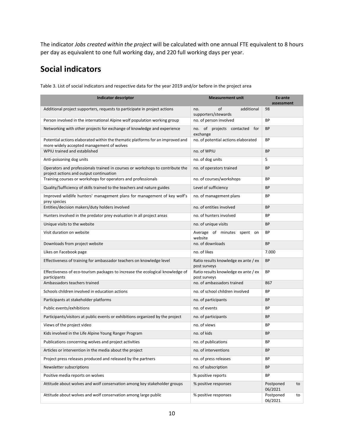The indicator *Jobs created within the project* will be calculated with one annual FTE equivalent to 8 hours per day as equivalent to one full working day, and 220 full working days per year.

## **Social indicators**

| <b>Indicator descriptor</b>                                                                                                 | <b>Measurement unit</b>                              | Ex-ante<br>assessment      |
|-----------------------------------------------------------------------------------------------------------------------------|------------------------------------------------------|----------------------------|
| Additional project supporters, requests to participate in project actions                                                   | of<br>additional<br>no.<br>supporters/stewards       | 98                         |
| Person involved in the international Alpine wolf population working group                                                   | no. of person involved                               | <b>BP</b>                  |
| Networking with other projects for exchange of knowledge and experience                                                     | no. of projects contacted<br>for<br>exchange         | <b>BP</b>                  |
| Potential actions elaborated within the thematic platforms for an improved and<br>more widely accepted management of wolves | no. of potential actions elaborated                  | <b>BP</b>                  |
| WPIU trained and established                                                                                                | no. of WPIU                                          | <b>BP</b>                  |
| Anti-poisoning dog units                                                                                                    | no. of dog units                                     | 5                          |
| Operators and professionals trained in courses or workshops to contribute the<br>project actions and output continuation    | no. of operators trained                             | <b>BP</b>                  |
| Training courses or workshops for operators and professionals                                                               | no. of courses/workshops                             | BP                         |
| Quality/Sufficiency of skills trained to the teachers and nature guides                                                     | Level of sufficiency                                 | BP                         |
| Improved wildlife hunters' management plans for management of key wolf's<br>prey species                                    | no. of management plans                              | <b>BP</b>                  |
| Entities/decision makers/duty holders involved                                                                              | no. of entities involved                             | <b>BP</b>                  |
| Hunters involved in the predator prey evaluation in all project areas                                                       | no. of hunters involved                              | <b>BP</b>                  |
| Unique visits to the website                                                                                                | no. of unique visits                                 | <b>BP</b>                  |
| Visit duration on website                                                                                                   | Average of minutes spent on<br>website               | <b>BP</b>                  |
| Downloads from project website                                                                                              | no. of downloads                                     | <b>BP</b>                  |
| Likes on Facebook page                                                                                                      | no. of likes                                         | 7.000                      |
| Effectiveness of training for ambassador teachers on knowledge level                                                        | Ratio results knowledge ex ante / ex<br>post surveys | <b>BP</b>                  |
| Effectiveness of eco-tourism packages to increase the ecological knowledge of<br>participants                               | Ratio results knowledge ex ante / ex<br>post surveys | BP                         |
| Ambassadors teachers trained                                                                                                | no. of ambassadors trained                           | 867                        |
| Schools children involved in education actions                                                                              | no. of school children involved                      | <b>BP</b>                  |
| Participants at stakeholder platforms                                                                                       | no. of participants                                  | <b>BP</b>                  |
| Public events/exhibitions                                                                                                   | no. of events                                        | <b>BP</b>                  |
| Participants/visitors at public events or exhibitions organized by the project                                              | no. of participants                                  | <b>BP</b>                  |
| Views of the project video                                                                                                  | no. of views                                         | <b>BP</b>                  |
| Kids involved in the Life Alpine Young Ranger Program                                                                       | no. of kids                                          | <b>BP</b>                  |
| Publications concerning wolves and project activities                                                                       | no. of publications                                  | <b>BP</b>                  |
| Articles or intervention in the media about the project                                                                     | no. of interventions                                 | BP                         |
| Project press releases produced and released by the partners                                                                | no. of press releases                                | ΒP                         |
| Newsletter subscriptions                                                                                                    | no. of subscription                                  | BP                         |
| Positive media reports on wolves                                                                                            | % positive reports                                   | BP                         |
| Attitude about wolves and wolf conservation among key stakeholder groups                                                    | % positive responses                                 | Postponed<br>to<br>06/2021 |
| Attitude about wolves and wolf conservation among large public                                                              | % positive responses                                 | Postponed<br>to<br>06/2021 |

Table 3. List of social indicators and respective data for the year 2019 and/or before in the project area